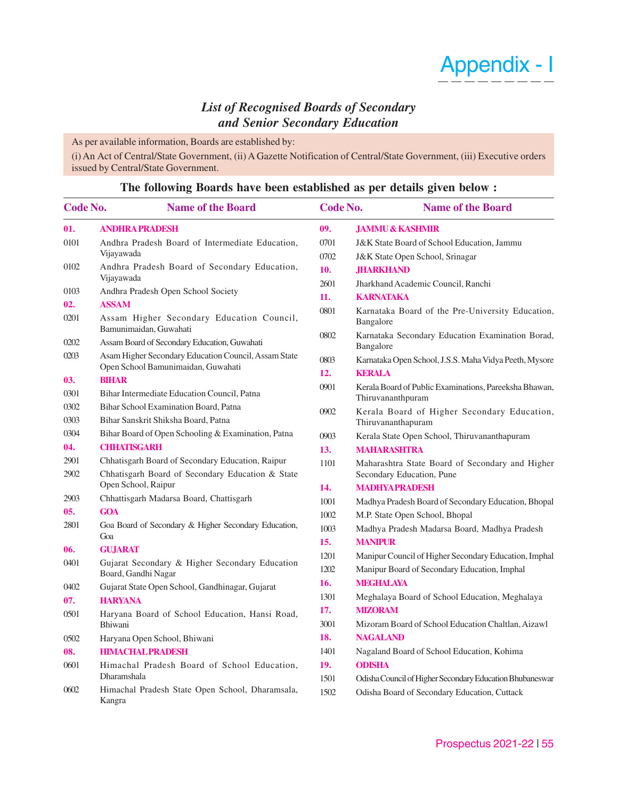# Appendix - I

## *List of Recognised Boards of Secondary and Senior Secondary Education*

As per available information, Boards are established by:

(i) An Act of Central/State Government, (ii) A Gazette Notification of Central/State Government, (iii) Executive orders issued by Central/State Government.

#### **Code No. Name of the Board 01. ANDHRA PRADESH** 0101 Andhra Pradesh Board of Intermediate Education, Vijayawada 0102 Andhra Pradesh Board of Secondary Education, Vijayawada 0103 Andhra Pradesh Open School Society **02. ASSAM** 0201 Assam Higher Secondary Education Council, Bamunimaidan, Guwahati 0202 Assam Board of Secondary Education, Guwahati 0203 Asam Higher Secondary Education Council, Assam State Open School Bamunimaidan, Guwahati **03. BIHAR** 0301 Bihar Intermediate Education Council, Patna 0302 Bihar School Examination Board, Patna 0303 Bihar Sanskrit Shiksha Board, Patna 0304 Bihar Board of Open Schooling & Examination, Patna **04. CHHATISGARH** 2901 Chhatisgarh Board of Secondary Education, Raipur 2902 Chhatisgarh Board of Secondary Education & State Open School, Raipur 2903 Chhattisgarh Madarsa Board, Chattisgarh **05. GOA** 2801 Goa Board of Secondary & Higher Secondary Education, Goa **06. GUJARAT** 0401 Gujarat Secondary & Higher Secondary Education Board, Gandhi Nagar 0402 Gujarat State Open School, Gandhinagar, Gujarat **07. HARYANA** 0501 Haryana Board of School Education, Hansi Road, Bhiwani 0502 Haryana Open School, Bhiwani **08. HIMACHAL PRADESH** 0601 Himachal Pradesh Board of School Education, Dharamshala 0602 Himachal Pradesh State Open School, Dharamsala, Kangra **09. JAMMU & KASHMIR** 0701 J&K State Board of School Education, Jammu 0702 J&K State Open School, Srinagar **10. JHARKHAND** 2601 Jharkhand Academic Council, Ranchi **11. KARNATAKA** 0801 Karnataka Board of the Pre-University Education, Bangalore 0802 Karnataka Secondary Education Examination Borad, Bangalore 0803 Karnataka Open School, J.S.S. Maha Vidya Peeth, Mysore **12. KERALA** 0901 Kerala Board of Public Examinations, Pareeksha Bhawan, Thiruvananthpuram 0902 Kerala Board of Higher Secondary Education, Thiruvananthapuram 0903 Kerala State Open School, Thiruvananthapuram **13. MAHARASHTRA** 1101 Maharashtra State Board of Secondary and Higher Secondary Education, Pune **14. MADHYA PRADESH** 1001 Madhya Pradesh Board of Secondary Education, Bhopal 1002 M.P. State Open School, Bhopal 1003 Madhya Pradesh Madarsa Board, Madhya Pradesh **15. MANIPUR** 1201 Manipur Council of Higher Secondary Education, Imphal 1202 Manipur Board of Secondary Education, Imphal **16. MEGHALAYA** 1301 Meghalaya Board of School Education, Meghalaya **17. MIZORAM** 3001 Mizoram Board of School Education Chaltlan, Aizawl **18. NAGALAND** 1401 Nagaland Board of School Education, Kohima **19. ODISHA** 1501 Odisha Council of Higher Secondary Education Bhubaneswar 1502 Odisha Board of Secondary Education, Cuttack **Code No. Name of the Board**

### **The following Boards have been established as per details given below :**